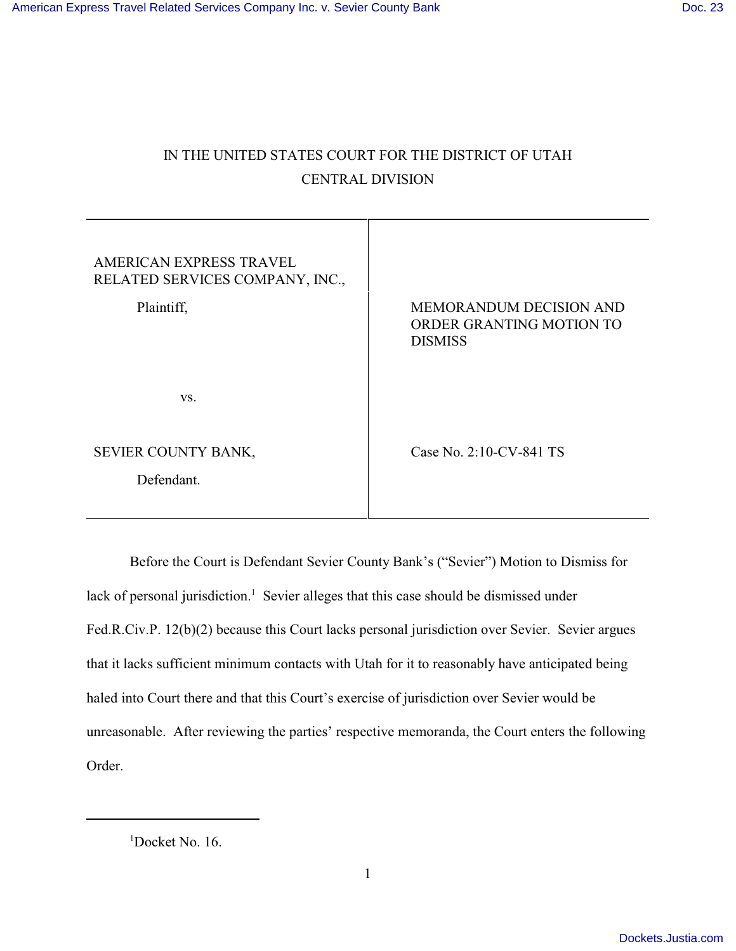# IN THE UNITED STATES COURT FOR THE DISTRICT OF UTAH CENTRAL DIVISION

| AMERICAN EXPRESS TRAVEL<br>RELATED SERVICES COMPANY, INC.,<br>Plaintiff, | MEMORANDUM DECISION AND<br>ORDER GRANTING MOTION TO<br><b>DISMISS</b> |
|--------------------------------------------------------------------------|-----------------------------------------------------------------------|
| VS.                                                                      |                                                                       |
| SEVIER COUNTY BANK,<br>Defendant.                                        | Case No. 2:10-CV-841 TS                                               |

Before the Court is Defendant Sevier County Bank's ("Sevier") Motion to Dismiss for lack of personal jurisdiction.<sup>1</sup> Sevier alleges that this case should be dismissed under Fed.R.Civ.P. 12(b)(2) because this Court lacks personal jurisdiction over Sevier. Sevier argues that it lacks sufficient minimum contacts with Utah for it to reasonably have anticipated being haled into Court there and that this Court's exercise of jurisdiction over Sevier would be unreasonable. After reviewing the parties' respective memoranda, the Court enters the following Order.

 $1$ Docket No. 16.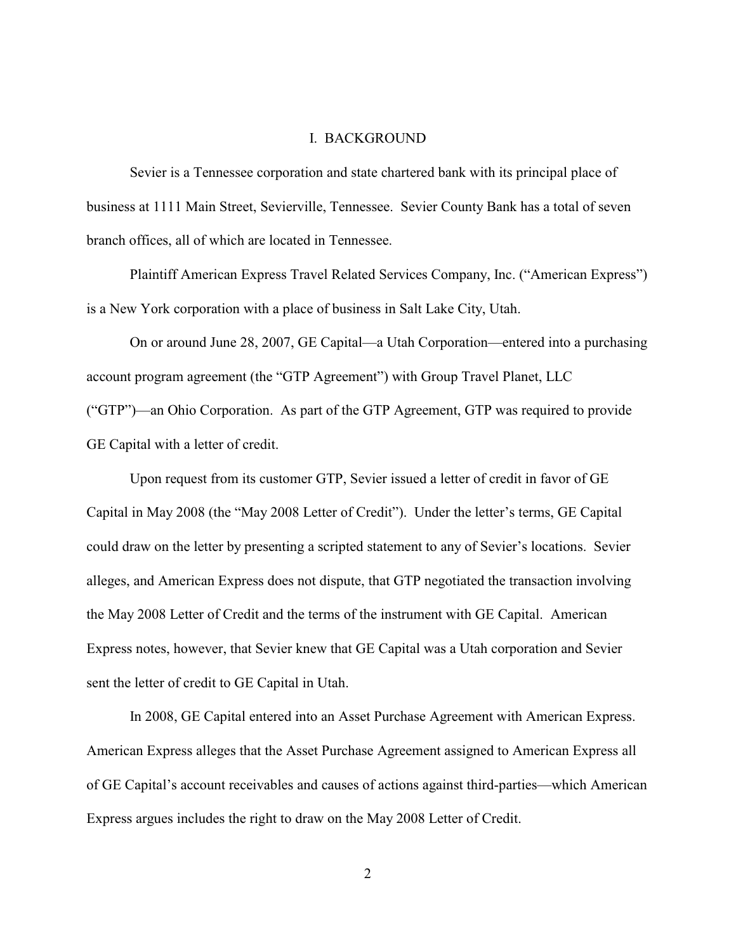### I. BACKGROUND

Sevier is a Tennessee corporation and state chartered bank with its principal place of business at 1111 Main Street, Sevierville, Tennessee. Sevier County Bank has a total of seven branch offices, all of which are located in Tennessee.

Plaintiff American Express Travel Related Services Company, Inc. ("American Express") is a New York corporation with a place of business in Salt Lake City, Utah.

On or around June 28, 2007, GE Capital—a Utah Corporation—entered into a purchasing account program agreement (the "GTP Agreement") with Group Travel Planet, LLC ("GTP")—an Ohio Corporation. As part of the GTP Agreement, GTP was required to provide GE Capital with a letter of credit.

Upon request from its customer GTP, Sevier issued a letter of credit in favor of GE Capital in May 2008 (the "May 2008 Letter of Credit"). Under the letter's terms, GE Capital could draw on the letter by presenting a scripted statement to any of Sevier's locations. Sevier alleges, and American Express does not dispute, that GTP negotiated the transaction involving the May 2008 Letter of Credit and the terms of the instrument with GE Capital. American Express notes, however, that Sevier knew that GE Capital was a Utah corporation and Sevier sent the letter of credit to GE Capital in Utah.

In 2008, GE Capital entered into an Asset Purchase Agreement with American Express. American Express alleges that the Asset Purchase Agreement assigned to American Express all of GE Capital's account receivables and causes of actions against third-parties—which American Express argues includes the right to draw on the May 2008 Letter of Credit.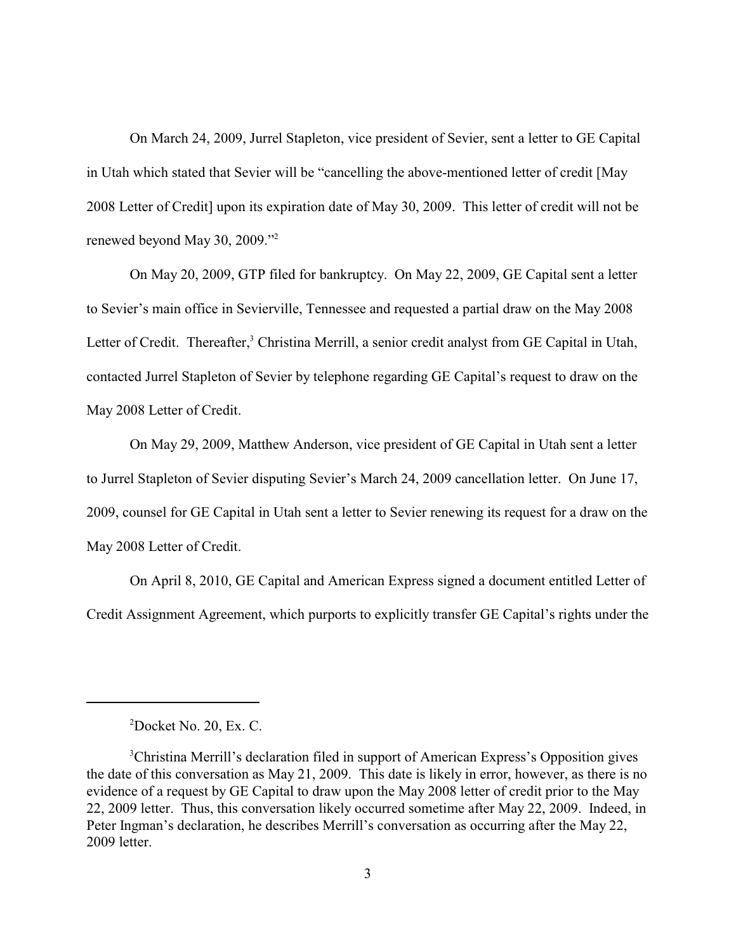On March 24, 2009, Jurrel Stapleton, vice president of Sevier, sent a letter to GE Capital in Utah which stated that Sevier will be "cancelling the above-mentioned letter of credit [May 2008 Letter of Credit] upon its expiration date of May 30, 2009. This letter of credit will not be renewed beyond May 30, 2009."<sup>2</sup>

On May 20, 2009, GTP filed for bankruptcy. On May 22, 2009, GE Capital sent a letter to Sevier's main office in Sevierville, Tennessee and requested a partial draw on the May 2008 Letter of Credit. Thereafter,<sup>3</sup> Christina Merrill, a senior credit analyst from GE Capital in Utah, contacted Jurrel Stapleton of Sevier by telephone regarding GE Capital's request to draw on the May 2008 Letter of Credit.

On May 29, 2009, Matthew Anderson, vice president of GE Capital in Utah sent a letter to Jurrel Stapleton of Sevier disputing Sevier's March 24, 2009 cancellation letter. On June 17, 2009, counsel for GE Capital in Utah sent a letter to Sevier renewing its request for a draw on the May 2008 Letter of Credit.

On April 8, 2010, GE Capital and American Express signed a document entitled Letter of Credit Assignment Agreement, which purports to explicitly transfer GE Capital's rights under the

 $2Docket$  No. 20, Ex. C.

<sup>&</sup>lt;sup>3</sup>Christina Merrill's declaration filed in support of American Express's Opposition gives the date of this conversation as May 21, 2009. This date is likely in error, however, as there is no evidence of a request by GE Capital to draw upon the May 2008 letter of credit prior to the May 22, 2009 letter. Thus, this conversation likely occurred sometime after May 22, 2009. Indeed, in Peter Ingman's declaration, he describes Merrill's conversation as occurring after the May 22, 2009 letter.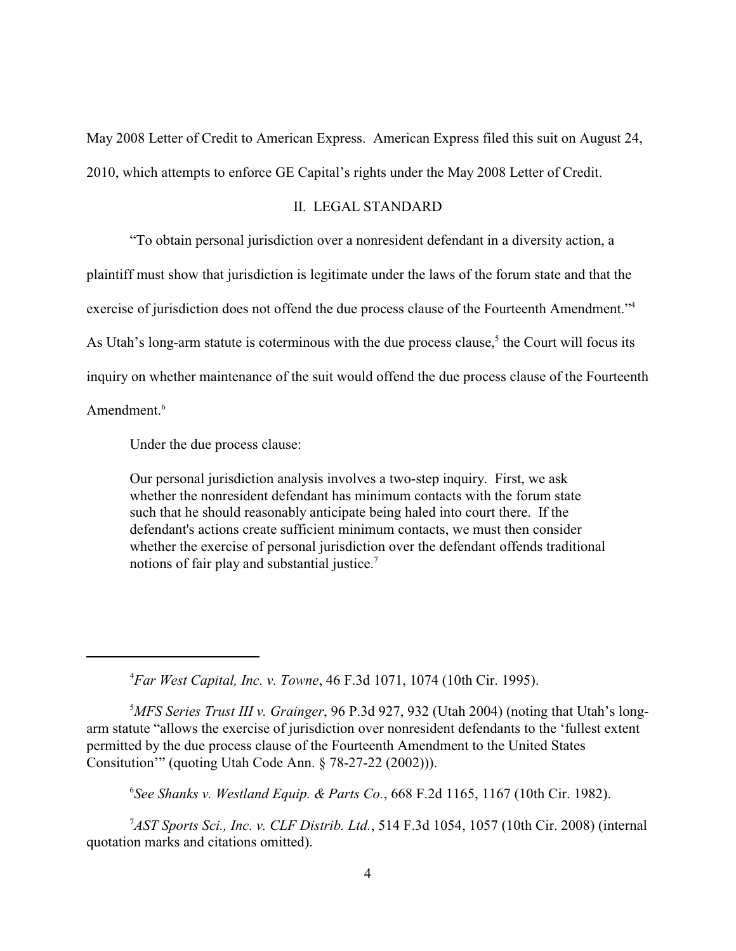May 2008 Letter of Credit to American Express. American Express filed this suit on August 24, 2010, which attempts to enforce GE Capital's rights under the May 2008 Letter of Credit.

## II. LEGAL STANDARD

"To obtain personal jurisdiction over a nonresident defendant in a diversity action, a plaintiff must show that jurisdiction is legitimate under the laws of the forum state and that the exercise of jurisdiction does not offend the due process clause of the Fourteenth Amendment."<sup>4</sup> As Utah's long-arm statute is coterminous with the due process clause,<sup>5</sup> the Court will focus its inquiry on whether maintenance of the suit would offend the due process clause of the Fourteenth Amendment.<sup>6</sup>

Under the due process clause:

Our personal jurisdiction analysis involves a two-step inquiry. First, we ask whether the nonresident defendant has minimum contacts with the forum state such that he should reasonably anticipate being haled into court there. If the defendant's actions create sufficient minimum contacts, we must then consider whether the exercise of personal jurisdiction over the defendant offends traditional notions of fair play and substantial justice.<sup>7</sup>

*Far West Capital, Inc. v. Towne*, 46 F.3d 1071, 1074 (10th Cir. 1995). <sup>4</sup>

<sup>5</sup>MFS Series Trust III v. Grainger, 96 P.3d 927, 932 (Utah 2004) (noting that Utah's longarm statute "allows the exercise of jurisdiction over nonresident defendants to the 'fullest extent permitted by the due process clause of the Fourteenth Amendment to the United States Consitution'" (quoting Utah Code Ann. § 78-27-22 (2002))).

*See Shanks v. Westland Equip. & Parts Co.*, 668 F.2d 1165, 1167 (10th Cir. 1982). <sup>6</sup>

<sup>7</sup>AST Sports Sci., Inc. v. CLF Distrib. Ltd., 514 F.3d 1054, 1057 (10th Cir. 2008) (internal quotation marks and citations omitted).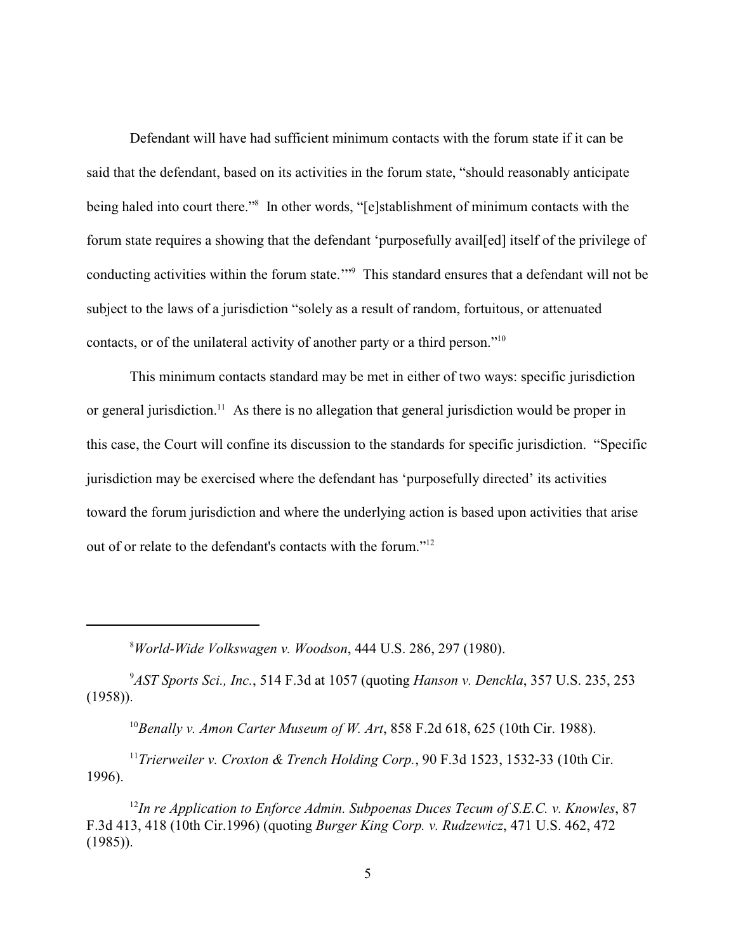Defendant will have had sufficient minimum contacts with the forum state if it can be said that the defendant, based on its activities in the forum state, "should reasonably anticipate being haled into court there."<sup>8</sup> In other words, "[e]stablishment of minimum contacts with the forum state requires a showing that the defendant 'purposefully avail[ed] itself of the privilege of conducting activities within the forum state.'"<sup>9</sup> This standard ensures that a defendant will not be subject to the laws of a jurisdiction "solely as a result of random, fortuitous, or attenuated contacts, or of the unilateral activity of another party or a third person."<sup>10</sup>

This minimum contacts standard may be met in either of two ways: specific jurisdiction or general jurisdiction.<sup>11</sup> As there is no allegation that general jurisdiction would be proper in this case, the Court will confine its discussion to the standards for specific jurisdiction. "Specific jurisdiction may be exercised where the defendant has 'purposefully directed' its activities toward the forum jurisdiction and where the underlying action is based upon activities that arise out of or relate to the defendant's contacts with the forum."<sup>12</sup>

*World-Wide Volkswagen v. Woodson*, 444 U.S. 286, 297 (1980). <sup>8</sup>

<sup>9</sup>AST Sports Sci., Inc., 514 F.3d at 1057 (quoting *Hanson v. Denckla*, 357 U.S. 235, 253 (1958)).

<sup>10</sup> Benally v. Amon Carter Museum of W. Art, 858 F.2d 618, 625 (10th Cir. 1988).

<sup>11</sup> Trierweiler v. Croxton & Trench Holding Corp., 90 F.3d 1523, 1532-33 (10th Cir. 1996).

<sup>12</sup>In re Application to Enforce Admin. Subpoenas Duces Tecum of S.E.C. v. Knowles, 87 F.3d 413, 418 (10th Cir.1996) (quoting *Burger King Corp. v. Rudzewicz*, 471 U.S. 462, 472 (1985)).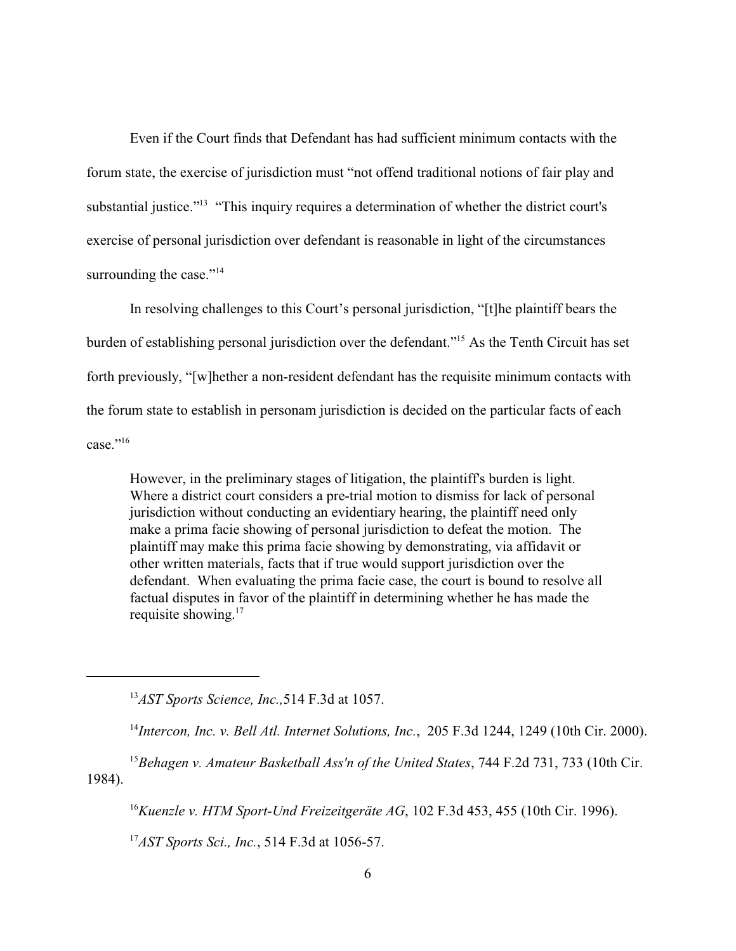Even if the Court finds that Defendant has had sufficient minimum contacts with the forum state, the exercise of jurisdiction must "not offend traditional notions of fair play and substantial justice."<sup>13</sup> "This inquiry requires a determination of whether the district court's exercise of personal jurisdiction over defendant is reasonable in light of the circumstances surrounding the case."<sup>14</sup>

In resolving challenges to this Court's personal jurisdiction, "[t]he plaintiff bears the burden of establishing personal jurisdiction over the defendant."<sup>15</sup> As the Tenth Circuit has set forth previously, "[w]hether a non-resident defendant has the requisite minimum contacts with the forum state to establish in personam jurisdiction is decided on the particular facts of each  $case." <sup>16</sup>$ 

However, in the preliminary stages of litigation, the plaintiff's burden is light. Where a district court considers a pre-trial motion to dismiss for lack of personal jurisdiction without conducting an evidentiary hearing, the plaintiff need only make a prima facie showing of personal jurisdiction to defeat the motion. The plaintiff may make this prima facie showing by demonstrating, via affidavit or other written materials, facts that if true would support jurisdiction over the defendant. When evaluating the prima facie case, the court is bound to resolve all factual disputes in favor of the plaintiff in determining whether he has made the requisite showing. 17

<sup>13</sup>*AST Sports Science, Inc.*, 514 F.3d at 1057.

<sup>14</sup>Intercon, Inc. v. Bell Atl. Internet Solutions, Inc., 205 F.3d 1244, 1249 (10th Cir. 2000).

<sup>15</sup> Behagen v. Amateur Basketball Ass'n of the United States, 744 F.2d 731, 733 (10th Cir. 1984).

<sup>16</sup> Kuenzle v. HTM Sport-Und Freizeitgeräte AG, 102 F.3d 453, 455 (10th Cir. 1996).

<sup>17</sup>*AST Sports Sci., Inc.*, 514 F.3d at 1056-57.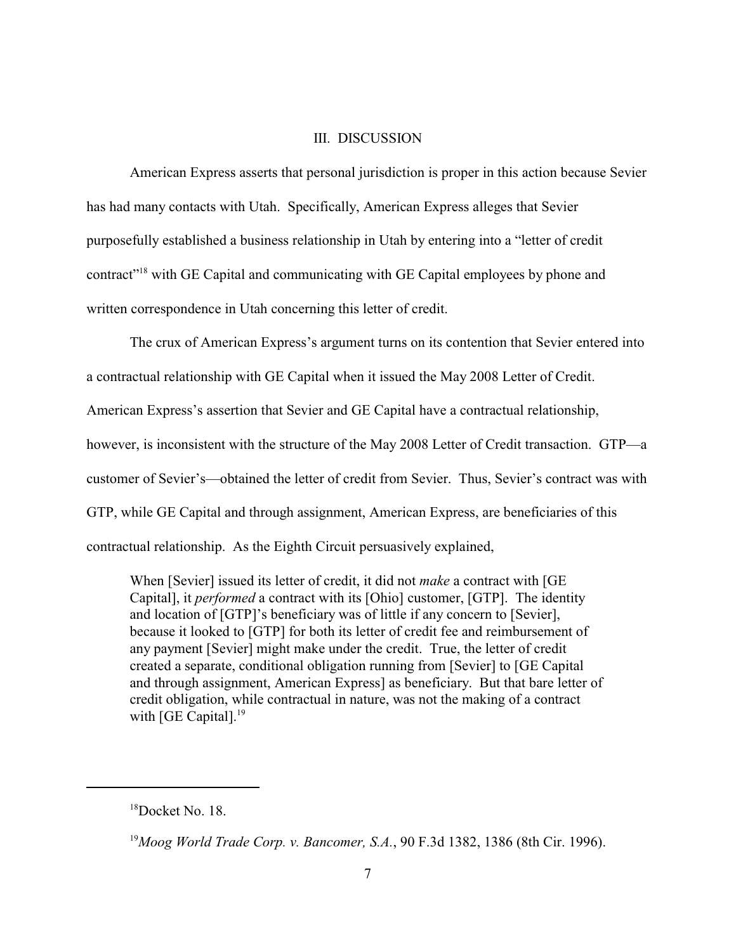### III. DISCUSSION

American Express asserts that personal jurisdiction is proper in this action because Sevier has had many contacts with Utah. Specifically, American Express alleges that Sevier purposefully established a business relationship in Utah by entering into a "letter of credit contract"<sup>18</sup> with GE Capital and communicating with GE Capital employees by phone and written correspondence in Utah concerning this letter of credit.

The crux of American Express's argument turns on its contention that Sevier entered into a contractual relationship with GE Capital when it issued the May 2008 Letter of Credit. American Express's assertion that Sevier and GE Capital have a contractual relationship, however, is inconsistent with the structure of the May 2008 Letter of Credit transaction. GTP—a customer of Sevier's—obtained the letter of credit from Sevier. Thus, Sevier's contract was with GTP, while GE Capital and through assignment, American Express, are beneficiaries of this contractual relationship. As the Eighth Circuit persuasively explained,

When [Sevier] issued its letter of credit, it did not *make* a contract with [GE Capital], it *performed* a contract with its [Ohio] customer, [GTP]. The identity and location of [GTP]'s beneficiary was of little if any concern to [Sevier], because it looked to [GTP] for both its letter of credit fee and reimbursement of any payment [Sevier] might make under the credit. True, the letter of credit created a separate, conditional obligation running from [Sevier] to [GE Capital and through assignment, American Express] as beneficiary. But that bare letter of credit obligation, while contractual in nature, was not the making of a contract with [GE Capital].<sup>19</sup>

 $18$ Docket No. 18.

<sup>&</sup>lt;sup>19</sup> Moog World Trade Corp. v. Bancomer, S.A., 90 F.3d 1382, 1386 (8th Cir. 1996).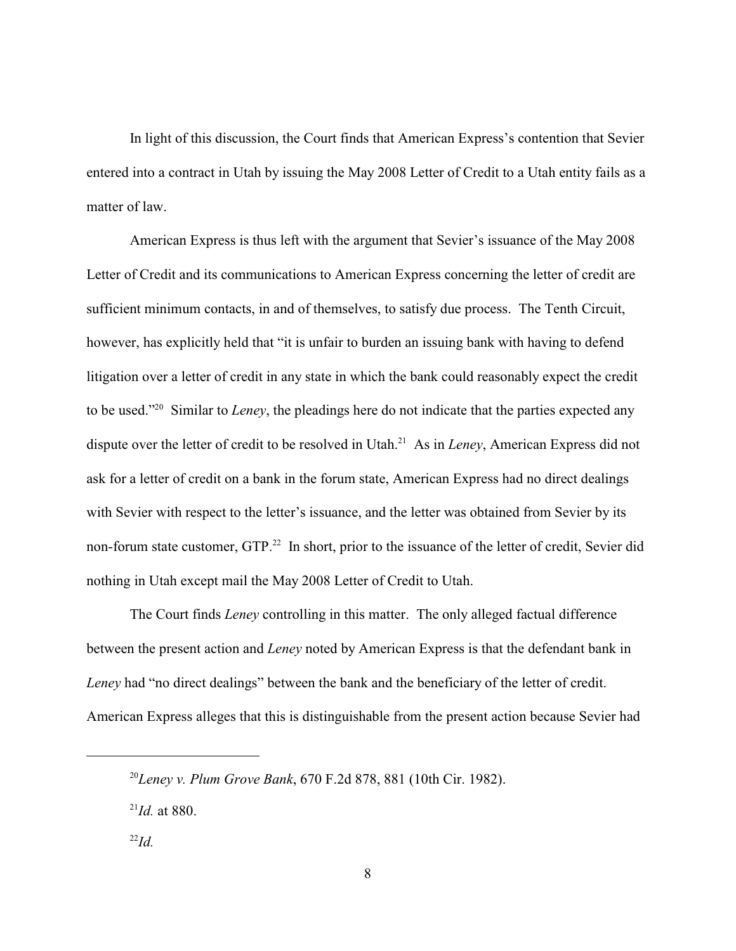In light of this discussion, the Court finds that American Express's contention that Sevier entered into a contract in Utah by issuing the May 2008 Letter of Credit to a Utah entity fails as a matter of law.

American Express is thus left with the argument that Sevier's issuance of the May 2008 Letter of Credit and its communications to American Express concerning the letter of credit are sufficient minimum contacts, in and of themselves, to satisfy due process. The Tenth Circuit, however, has explicitly held that "it is unfair to burden an issuing bank with having to defend litigation over a letter of credit in any state in which the bank could reasonably expect the credit to be used."<sup>20</sup> Similar to *Leney*, the pleadings here do not indicate that the parties expected any dispute over the letter of credit to be resolved in Utah.<sup>21</sup> As in *Leney*, American Express did not ask for a letter of credit on a bank in the forum state, American Express had no direct dealings with Sevier with respect to the letter's issuance, and the letter was obtained from Sevier by its non-forum state customer, GTP.<sup>22</sup> In short, prior to the issuance of the letter of credit, Sevier did nothing in Utah except mail the May 2008 Letter of Credit to Utah.

The Court finds *Leney* controlling in this matter. The only alleged factual difference between the present action and *Leney* noted by American Express is that the defendant bank in *Leney* had "no direct dealings" between the bank and the beneficiary of the letter of credit. American Express alleges that this is distinguishable from the present action because Sevier had

<sup>&</sup>lt;sup>20</sup>Leney v. Plum Grove Bank, 670 F.2d 878, 881 (10th Cir. 1982).

 $^{21}$ *Id.* at 880.

 $^{22}Id$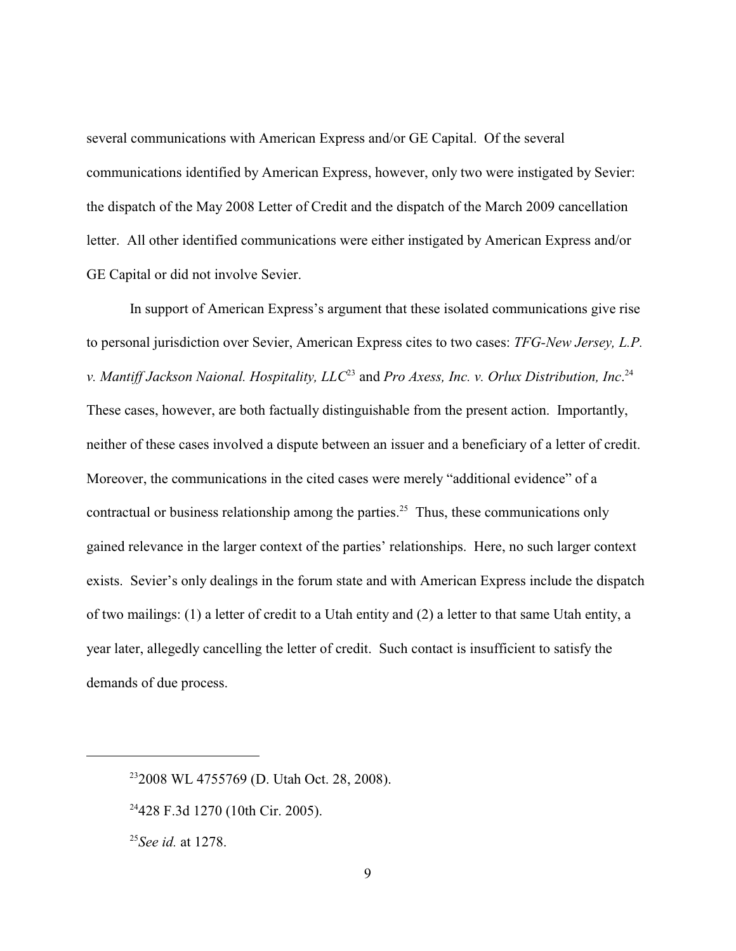several communications with American Express and/or GE Capital. Of the several communications identified by American Express, however, only two were instigated by Sevier: the dispatch of the May 2008 Letter of Credit and the dispatch of the March 2009 cancellation letter. All other identified communications were either instigated by American Express and/or GE Capital or did not involve Sevier.

In support of American Express's argument that these isolated communications give rise to personal jurisdiction over Sevier, American Express cites to two cases: *TFG-New Jersey, L.P. v. Mantiff Jackson Naional. Hospitality, LLC<sup>23</sup> and Pro Axess, Inc. v. Orlux Distribution, Inc.<sup>24</sup>* These cases, however, are both factually distinguishable from the present action. Importantly, neither of these cases involved a dispute between an issuer and a beneficiary of a letter of credit. Moreover, the communications in the cited cases were merely "additional evidence" of a contractual or business relationship among the parties.<sup>25</sup> Thus, these communications only gained relevance in the larger context of the parties' relationships. Here, no such larger context exists. Sevier's only dealings in the forum state and with American Express include the dispatch of two mailings: (1) a letter of credit to a Utah entity and (2) a letter to that same Utah entity, a year later, allegedly cancelling the letter of credit. Such contact is insufficient to satisfy the demands of due process.

<sup>&</sup>lt;sup>23</sup>2008 WL 4755769 (D. Utah Oct. 28, 2008).

 $24428$  F.3d 1270 (10th Cir. 2005).

<sup>&</sup>lt;sup>25</sup>*See id.* at 1278.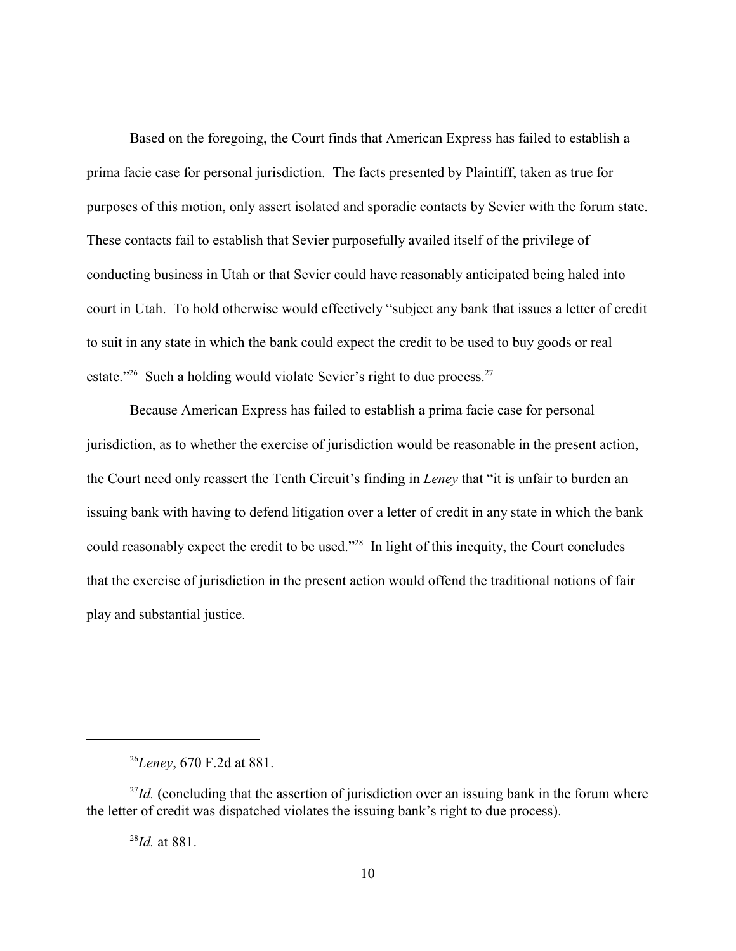Based on the foregoing, the Court finds that American Express has failed to establish a prima facie case for personal jurisdiction. The facts presented by Plaintiff, taken as true for purposes of this motion, only assert isolated and sporadic contacts by Sevier with the forum state. These contacts fail to establish that Sevier purposefully availed itself of the privilege of conducting business in Utah or that Sevier could have reasonably anticipated being haled into court in Utah. To hold otherwise would effectively "subject any bank that issues a letter of credit to suit in any state in which the bank could expect the credit to be used to buy goods or real estate." Such a holding would violate Sevier's right to due process. $27$ 

Because American Express has failed to establish a prima facie case for personal jurisdiction, as to whether the exercise of jurisdiction would be reasonable in the present action, the Court need only reassert the Tenth Circuit's finding in *Leney* that "it is unfair to burden an issuing bank with having to defend litigation over a letter of credit in any state in which the bank could reasonably expect the credit to be used."<sup>28</sup> In light of this inequity, the Court concludes that the exercise of jurisdiction in the present action would offend the traditional notions of fair play and substantial justice.

<sup>&</sup>lt;sup>26</sup>*Leney*, 670 F.2d at 881.

<sup>&</sup>lt;sup>27</sup>Id. (concluding that the assertion of jurisdiction over an issuing bank in the forum where the letter of credit was dispatched violates the issuing bank's right to due process).

 $^{28}$ *Id.* at 881.